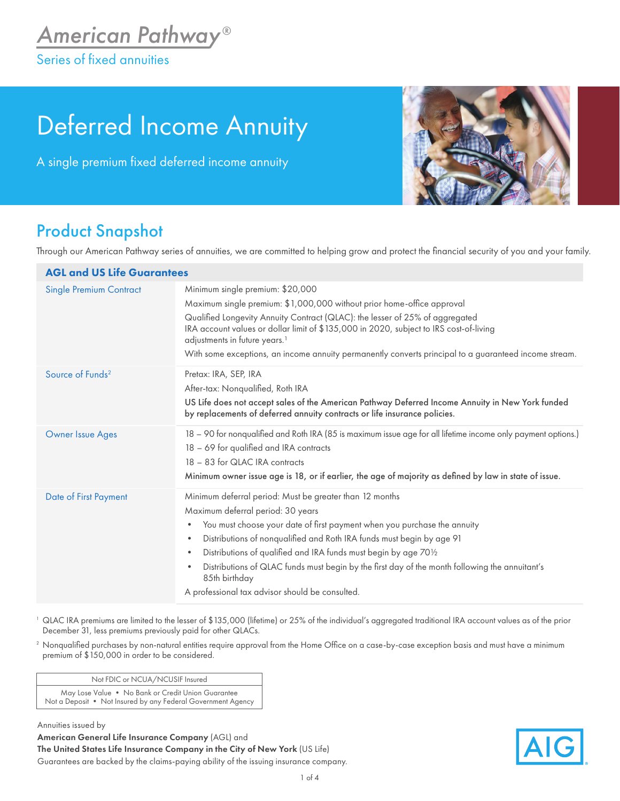## Deferred Income Annuity

A single premium fixed deferred income annuity



## Product Snapshot

Through our American Pathway series of annuities, we are committed to helping grow and protect the financial security of you and your family.

| <b>AGL and US Life Guarantees</b> |                                                                                                                                                                                                                                                                                                                                                                                                                                                                                                                                         |
|-----------------------------------|-----------------------------------------------------------------------------------------------------------------------------------------------------------------------------------------------------------------------------------------------------------------------------------------------------------------------------------------------------------------------------------------------------------------------------------------------------------------------------------------------------------------------------------------|
| <b>Single Premium Contract</b>    | Minimum single premium: \$20,000<br>Maximum single premium: \$1,000,000 without prior home-office approval<br>Qualified Longevity Annuity Contract (QLAC): the lesser of 25% of aggregated<br>IRA account values or dollar limit of \$135,000 in 2020, subject to IRS cost-of-living<br>adjustments in future years. <sup>1</sup><br>With some exceptions, an income annuity permanently converts principal to a guaranteed income stream.                                                                                              |
| Source of Funds <sup>2</sup>      | Pretax: IRA, SEP, IRA<br>After-tax: Nonqualified, Roth IRA<br>US Life does not accept sales of the American Pathway Deferred Income Annuity in New York funded<br>by replacements of deferred annuity contracts or life insurance policies.                                                                                                                                                                                                                                                                                             |
| <b>Owner Issue Ages</b>           | 18 – 90 for nonqualified and Roth IRA (85 is maximum issue age for all lifetime income only payment options.)<br>18 - 69 for qualified and IRA contracts<br>18 - 83 for QLAC IRA contracts<br>Minimum owner issue age is 18, or if earlier, the age of majority as defined by law in state of issue.                                                                                                                                                                                                                                    |
| Date of First Payment             | Minimum deferral period: Must be greater than 12 months<br>Maximum deferral period: 30 years<br>You must choose your date of first payment when you purchase the annuity<br>٠<br>Distributions of nonqualified and Roth IRA funds must begin by age 91<br>$\bullet$<br>Distributions of qualified and IRA funds must begin by age 701/2<br>$\bullet$<br>Distributions of QLAC funds must begin by the first day of the month following the annuitant's<br>$\bullet$<br>85th birthday<br>A professional tax advisor should be consulted. |

- <sup>1</sup> QLAC IRA premiums are limited to the lesser of \$135,000 (lifetime) or 25% of the individual's aggregated traditional IRA account values as of the prior December 31, less premiums previously paid for other QLACs.
- <sup>2</sup> Nonqualified purchases by non-natural entities require approval from the Home Office on a case-by-case exception basis and must have a minimum premium of \$150,000 in order to be considered.

Not FDIC or NCUA/NCUSIF Insured

May Lose Value • No Bank or Credit Union Guarantee Not a Deposit • Not Insured by any Federal Government Agency

Annuities issued by

American General Life Insurance Company (AGL) and The United States Life Insurance Company in the City of New York (US Life) Guarantees are backed by the claims-paying ability of the issuing insurance company.

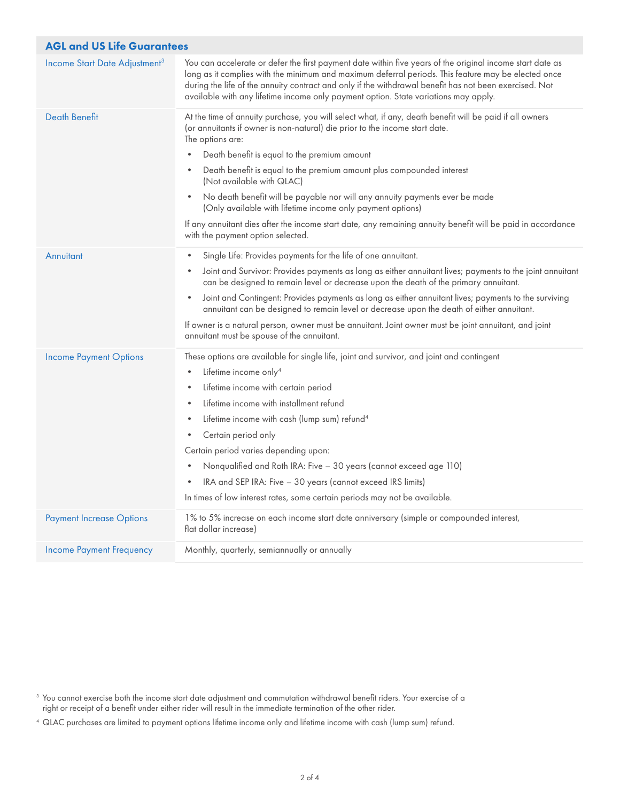| <b>AGL and US Life Guarantees</b>         |                                                                                                                                                                                                                                                                                                                                                                                                                                                                                                                                                                                                                                                                                |  |  |  |  |  |  |
|-------------------------------------------|--------------------------------------------------------------------------------------------------------------------------------------------------------------------------------------------------------------------------------------------------------------------------------------------------------------------------------------------------------------------------------------------------------------------------------------------------------------------------------------------------------------------------------------------------------------------------------------------------------------------------------------------------------------------------------|--|--|--|--|--|--|
| Income Start Date Adjustment <sup>3</sup> | You can accelerate or defer the first payment date within five years of the original income start date as<br>long as it complies with the minimum and maximum deferral periods. This feature may be elected once<br>during the life of the annuity contract and only if the withdrawal benefit has not been exercised. Not<br>available with any lifetime income only payment option. State variations may apply.                                                                                                                                                                                                                                                              |  |  |  |  |  |  |
| <b>Death Benefit</b>                      | At the time of annuity purchase, you will select what, if any, death benefit will be paid if all owners<br>(or annuitants if owner is non-natural) die prior to the income start date.<br>The options are:<br>Death benefit is equal to the premium amount<br>Death benefit is equal to the premium amount plus compounded interest<br>(Not available with QLAC)<br>No death benefit will be payable nor will any annuity payments ever be made<br>$\bullet$<br>(Only available with lifetime income only payment options)<br>If any annuitant dies after the income start date, any remaining annuity benefit will be paid in accordance<br>with the payment option selected. |  |  |  |  |  |  |
| Annuitant                                 | Single Life: Provides payments for the life of one annuitant.<br>$\bullet$<br>Joint and Survivor: Provides payments as long as either annuitant lives; payments to the joint annuitant<br>۰<br>can be designed to remain level or decrease upon the death of the primary annuitant.<br>Joint and Contingent: Provides payments as long as either annuitant lives; payments to the surviving<br>$\bullet$<br>annuitant can be designed to remain level or decrease upon the death of either annuitant.<br>If owner is a natural person, owner must be annuitant. Joint owner must be joint annuitant, and joint<br>annuitant must be spouse of the annuitant.                   |  |  |  |  |  |  |
| <b>Income Payment Options</b>             | These options are available for single life, joint and survivor, and joint and contingent<br>Lifetime income only <sup>4</sup><br>Lifetime income with certain period<br>$\bullet$<br>Lifetime income with installment refund<br>$\bullet$<br>Lifetime income with cash (lump sum) refund <sup>4</sup><br>$\bullet$<br>Certain period only<br>Certain period varies depending upon:<br>Nonqualified and Roth IRA: Five - 30 years (cannot exceed age 110)<br>$\bullet$<br>IRA and SEP IRA: Five - 30 years (cannot exceed IRS limits)<br>In times of low interest rates, some certain periods may not be available.                                                            |  |  |  |  |  |  |
| <b>Payment Increase Options</b>           | 1% to 5% increase on each income start date anniversary (simple or compounded interest,<br>flat dollar increase)                                                                                                                                                                                                                                                                                                                                                                                                                                                                                                                                                               |  |  |  |  |  |  |
| <b>Income Payment Frequency</b>           | Monthly, quarterly, semiannually or annually                                                                                                                                                                                                                                                                                                                                                                                                                                                                                                                                                                                                                                   |  |  |  |  |  |  |

 $^{\rm 3}$  You cannot exercise both the income start date adjustment and commutation withdrawal benefit riders. Your exercise of a right or receipt of a benefit under either rider will result in the immediate termination of the other rider.

<sup>4</sup> QLAC purchases are limited to payment options lifetime income only and lifetime income with cash (lump sum) refund.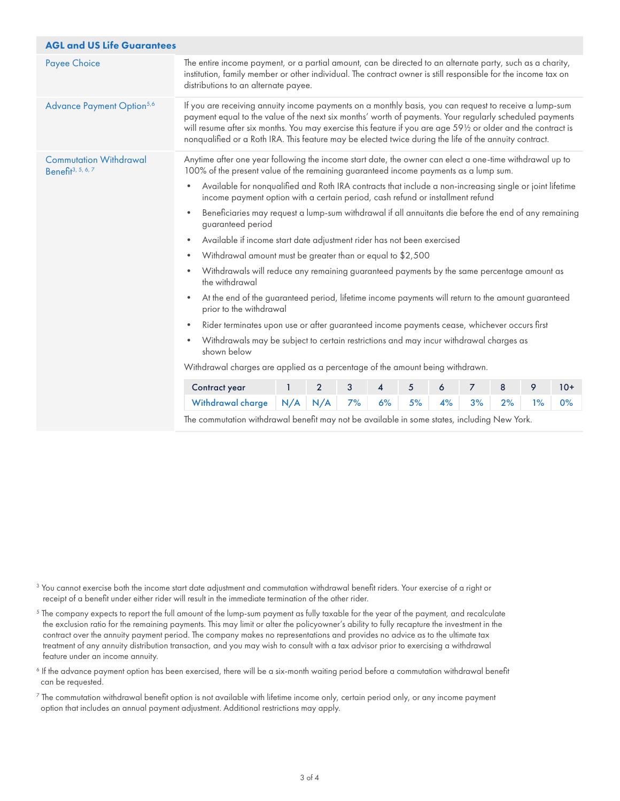| <b>AGL and US Life Guarantees</b>                              |                                                                                                                                                                                                                                                                                                                                                                                                                                              |     |                |    |                |    |    |                |    |       |       |
|----------------------------------------------------------------|----------------------------------------------------------------------------------------------------------------------------------------------------------------------------------------------------------------------------------------------------------------------------------------------------------------------------------------------------------------------------------------------------------------------------------------------|-----|----------------|----|----------------|----|----|----------------|----|-------|-------|
| <b>Payee Choice</b>                                            | The entire income payment, or a partial amount, can be directed to an alternate party, such as a charity,<br>institution, family member or other individual. The contract owner is still responsible for the income tax on<br>distributions to an alternate payee.                                                                                                                                                                           |     |                |    |                |    |    |                |    |       |       |
| Advance Payment Option <sup>5,6</sup>                          | If you are receiving annuity income payments on a monthly basis, you can request to receive a lump-sum<br>payment equal to the value of the next six months' worth of payments. Your regularly scheduled payments<br>will resume after six months. You may exercise this feature if you are age 591/2 or older and the contract is<br>nonqualified or a Roth IRA. This feature may be elected twice during the life of the annuity contract. |     |                |    |                |    |    |                |    |       |       |
| <b>Commutation Withdrawal</b><br>Benefit <sup>3, 5, 6, 7</sup> | Anytime after one year following the income start date, the owner can elect a one-time withdrawal up to<br>100% of the present value of the remaining guaranteed income payments as a lump sum.                                                                                                                                                                                                                                              |     |                |    |                |    |    |                |    |       |       |
|                                                                | Available for nonqualified and Roth IRA contracts that include a non-increasing single or joint lifetime<br>$\bullet$<br>income payment option with a certain period, cash refund or installment refund                                                                                                                                                                                                                                      |     |                |    |                |    |    |                |    |       |       |
|                                                                | Beneficiaries may request a lump-sum withdrawal if all annuitants die before the end of any remaining<br>$\bullet$<br>guaranteed period                                                                                                                                                                                                                                                                                                      |     |                |    |                |    |    |                |    |       |       |
|                                                                | Available if income start date adjustment rider has not been exercised<br>$\bullet$                                                                                                                                                                                                                                                                                                                                                          |     |                |    |                |    |    |                |    |       |       |
|                                                                | Withdrawal amount must be greater than or equal to \$2,500<br>$\bullet$                                                                                                                                                                                                                                                                                                                                                                      |     |                |    |                |    |    |                |    |       |       |
|                                                                | Withdrawals will reduce any remaining guaranteed payments by the same percentage amount as<br>$\bullet$<br>the withdrawal                                                                                                                                                                                                                                                                                                                    |     |                |    |                |    |    |                |    |       |       |
|                                                                | At the end of the guaranteed period, lifetime income payments will return to the amount guaranteed<br>$\bullet$<br>prior to the withdrawal                                                                                                                                                                                                                                                                                                   |     |                |    |                |    |    |                |    |       |       |
|                                                                | Rider terminates upon use or after guaranteed income payments cease, whichever occurs first<br>$\bullet$                                                                                                                                                                                                                                                                                                                                     |     |                |    |                |    |    |                |    |       |       |
|                                                                | Withdrawals may be subject to certain restrictions and may incur withdrawal charges as<br>$\bullet$<br>shown below                                                                                                                                                                                                                                                                                                                           |     |                |    |                |    |    |                |    |       |       |
|                                                                | Withdrawal charges are applied as a percentage of the amount being withdrawn.                                                                                                                                                                                                                                                                                                                                                                |     |                |    |                |    |    |                |    |       |       |
|                                                                | Contract year                                                                                                                                                                                                                                                                                                                                                                                                                                | 1   | $\overline{2}$ | 3  | 4              | 5  | 6  | $\overline{7}$ | 8  | 9     | $10+$ |
|                                                                | Withdrawal charge                                                                                                                                                                                                                                                                                                                                                                                                                            | N/A | N/A            | 7% | 6%             | 5% | 4% | 3%             | 2% | $1\%$ | 0%    |
|                                                                |                                                                                                                                                                                                                                                                                                                                                                                                                                              |     |                |    | $-1$ $-1$ $-1$ |    |    |                |    |       |       |

The commutation withdrawal benefit may not be available in some states, including New York.

 $^3$  You cannot exercise both the income start date adjustment and commutation withdrawal benefit riders. Your exercise of a right or receipt of a benefit under either rider will result in the immediate termination of the other rider.

 $^5$  The company expects to report the full amount of the lump-sum payment as fully taxable for the year of the payment, and recalculate the exclusion ratio for the remaining payments. This may limit or alter the policyowner's ability to fully recapture the investment in the contract over the annuity payment period. The company makes no representations and provides no advice as to the ultimate tax treatment of any annuity distribution transaction, and you may wish to consult with a tax advisor prior to exercising a withdrawal feature under an income annuity.

6 If the advance payment option has been exercised, there will be a six-month waiting period before a commutation withdrawal benefit can be requested.

 $^7$  The commutation withdrawal benefit option is not available with lifetime income only, certain period only, or any income payment option that includes an annual payment adjustment. Additional restrictions may apply.